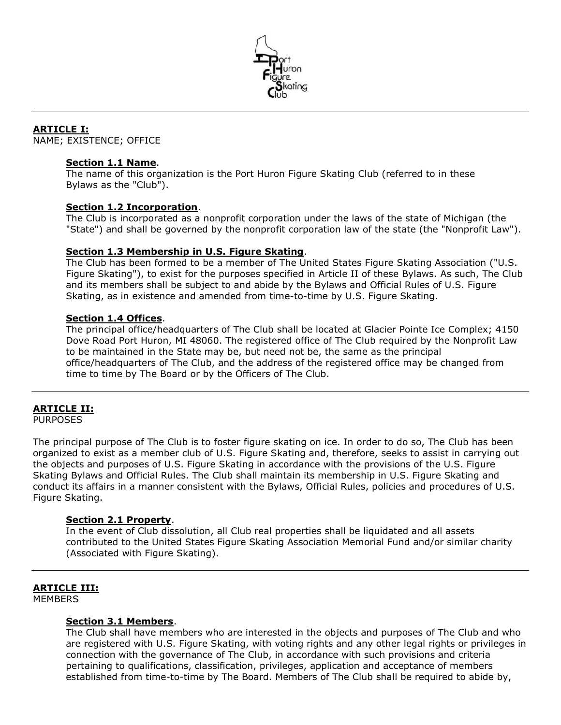

# ARTICLE I:

NAME; EXISTENCE; OFFICE

#### Section 1.1 Name.

The name of this organization is the Port Huron Figure Skating Club (referred to in these Bylaws as the "Club").

#### Section 1.2 Incorporation.

The Club is incorporated as a nonprofit corporation under the laws of the state of Michigan (the "State") and shall be governed by the nonprofit corporation law of the state (the "Nonprofit Law").

## Section 1.3 Membership in U.S. Figure Skating.

The Club has been formed to be a member of The United States Figure Skating Association ("U.S. Figure Skating"), to exist for the purposes specified in Article II of these Bylaws. As such, The Club and its members shall be subject to and abide by the Bylaws and Official Rules of U.S. Figure Skating, as in existence and amended from time-to-time by U.S. Figure Skating.

## Section 1.4 Offices.

The principal office/headquarters of The Club shall be located at Glacier Pointe Ice Complex; 4150 Dove Road Port Huron, MI 48060. The registered office of The Club required by the Nonprofit Law to be maintained in the State may be, but need not be, the same as the principal office/headquarters of The Club, and the address of the registered office may be changed from time to time by The Board or by the Officers of The Club.

# ARTICLE II:

**PURPOSES** 

The principal purpose of The Club is to foster figure skating on ice. In order to do so, The Club has been organized to exist as a member club of U.S. Figure Skating and, therefore, seeks to assist in carrying out the objects and purposes of U.S. Figure Skating in accordance with the provisions of the U.S. Figure Skating Bylaws and Official Rules. The Club shall maintain its membership in U.S. Figure Skating and conduct its affairs in a manner consistent with the Bylaws, Official Rules, policies and procedures of U.S. Figure Skating.

#### Section 2.1 Property.

In the event of Club dissolution, all Club real properties shall be liquidated and all assets contributed to the United States Figure Skating Association Memorial Fund and/or similar charity (Associated with Figure Skating).

## ARTICLE III:

**MEMBERS** 

## Section 3.1 Members.

The Club shall have members who are interested in the objects and purposes of The Club and who are registered with U.S. Figure Skating, with voting rights and any other legal rights or privileges in connection with the governance of The Club, in accordance with such provisions and criteria pertaining to qualifications, classification, privileges, application and acceptance of members established from time-to-time by The Board. Members of The Club shall be required to abide by,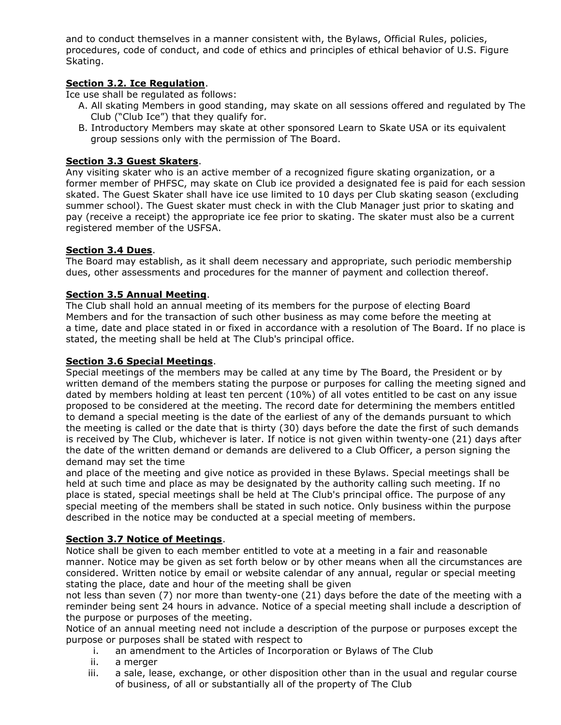and to conduct themselves in a manner consistent with, the Bylaws, Official Rules, policies, procedures, code of conduct, and code of ethics and principles of ethical behavior of U.S. Figure Skating.

# Section 3.2. Ice Regulation.

Ice use shall be regulated as follows:

- A. All skating Members in good standing, may skate on all sessions offered and regulated by The Club ("Club Ice") that they qualify for.
- B. Introductory Members may skate at other sponsored Learn to Skate USA or its equivalent group sessions only with the permission of The Board.

# Section 3.3 Guest Skaters.

Any visiting skater who is an active member of a recognized figure skating organization, or a former member of PHFSC, may skate on Club ice provided a designated fee is paid for each session skated. The Guest Skater shall have ice use limited to 10 days per Club skating season (excluding summer school). The Guest skater must check in with the Club Manager just prior to skating and pay (receive a receipt) the appropriate ice fee prior to skating. The skater must also be a current registered member of the USFSA.

# Section 3.4 Dues.

The Board may establish, as it shall deem necessary and appropriate, such periodic membership dues, other assessments and procedures for the manner of payment and collection thereof.

# Section 3.5 Annual Meeting.

The Club shall hold an annual meeting of its members for the purpose of electing Board Members and for the transaction of such other business as may come before the meeting at a time, date and place stated in or fixed in accordance with a resolution of The Board. If no place is stated, the meeting shall be held at The Club's principal office.

## Section 3.6 Special Meetings.

Special meetings of the members may be called at any time by The Board, the President or by written demand of the members stating the purpose or purposes for calling the meeting signed and dated by members holding at least ten percent (10%) of all votes entitled to be cast on any issue proposed to be considered at the meeting. The record date for determining the members entitled to demand a special meeting is the date of the earliest of any of the demands pursuant to which the meeting is called or the date that is thirty (30) days before the date the first of such demands is received by The Club, whichever is later. If notice is not given within twenty-one (21) days after the date of the written demand or demands are delivered to a Club Officer, a person signing the demand may set the time

and place of the meeting and give notice as provided in these Bylaws. Special meetings shall be held at such time and place as may be designated by the authority calling such meeting. If no place is stated, special meetings shall be held at The Club's principal office. The purpose of any special meeting of the members shall be stated in such notice. Only business within the purpose described in the notice may be conducted at a special meeting of members.

## Section 3.7 Notice of Meetings.

Notice shall be given to each member entitled to vote at a meeting in a fair and reasonable manner. Notice may be given as set forth below or by other means when all the circumstances are considered. Written notice by email or website calendar of any annual, regular or special meeting stating the place, date and hour of the meeting shall be given

not less than seven (7) nor more than twenty-one (21) days before the date of the meeting with a reminder being sent 24 hours in advance. Notice of a special meeting shall include a description of the purpose or purposes of the meeting.

Notice of an annual meeting need not include a description of the purpose or purposes except the purpose or purposes shall be stated with respect to

- i. an amendment to the Articles of Incorporation or Bylaws of The Club
- ii. a merger
- iii. a sale, lease, exchange, or other disposition other than in the usual and regular course of business, of all or substantially all of the property of The Club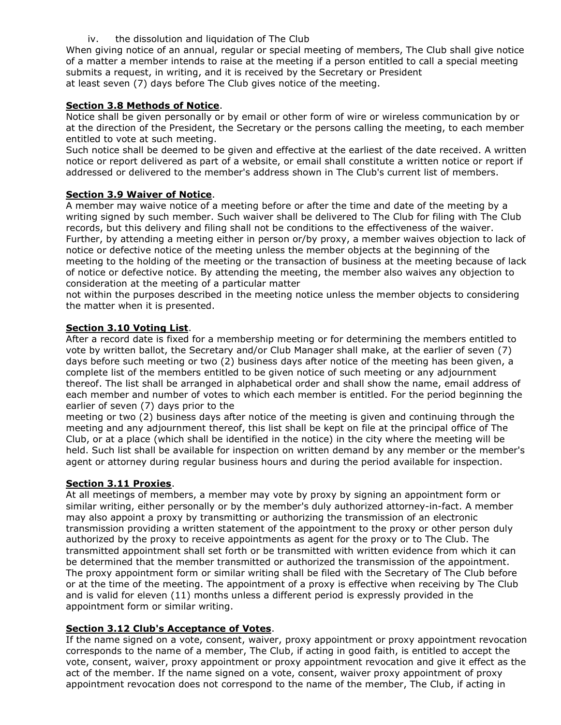## iv. the dissolution and liquidation of The Club

When giving notice of an annual, regular or special meeting of members, The Club shall give notice of a matter a member intends to raise at the meeting if a person entitled to call a special meeting submits a request, in writing, and it is received by the Secretary or President at least seven (7) days before The Club gives notice of the meeting.

# Section 3.8 Methods of Notice.

Notice shall be given personally or by email or other form of wire or wireless communication by or at the direction of the President, the Secretary or the persons calling the meeting, to each member entitled to vote at such meeting.

Such notice shall be deemed to be given and effective at the earliest of the date received. A written notice or report delivered as part of a website, or email shall constitute a written notice or report if addressed or delivered to the member's address shown in The Club's current list of members.

## Section 3.9 Waiver of Notice.

A member may waive notice of a meeting before or after the time and date of the meeting by a writing signed by such member. Such waiver shall be delivered to The Club for filing with The Club records, but this delivery and filing shall not be conditions to the effectiveness of the waiver. Further, by attending a meeting either in person or/by proxy, a member waives objection to lack of notice or defective notice of the meeting unless the member objects at the beginning of the meeting to the holding of the meeting or the transaction of business at the meeting because of lack of notice or defective notice. By attending the meeting, the member also waives any objection to consideration at the meeting of a particular matter

not within the purposes described in the meeting notice unless the member objects to considering the matter when it is presented.

## Section 3.10 Voting List.

After a record date is fixed for a membership meeting or for determining the members entitled to vote by written ballot, the Secretary and/or Club Manager shall make, at the earlier of seven (7) days before such meeting or two (2) business days after notice of the meeting has been given, a complete list of the members entitled to be given notice of such meeting or any adjournment thereof. The list shall be arranged in alphabetical order and shall show the name, email address of each member and number of votes to which each member is entitled. For the period beginning the earlier of seven (7) days prior to the

meeting or two (2) business days after notice of the meeting is given and continuing through the meeting and any adjournment thereof, this list shall be kept on file at the principal office of The Club, or at a place (which shall be identified in the notice) in the city where the meeting will be held. Such list shall be available for inspection on written demand by any member or the member's agent or attorney during regular business hours and during the period available for inspection.

## Section 3.11 Proxies.

At all meetings of members, a member may vote by proxy by signing an appointment form or similar writing, either personally or by the member's duly authorized attorney-in-fact. A member may also appoint a proxy by transmitting or authorizing the transmission of an electronic transmission providing a written statement of the appointment to the proxy or other person duly authorized by the proxy to receive appointments as agent for the proxy or to The Club. The transmitted appointment shall set forth or be transmitted with written evidence from which it can be determined that the member transmitted or authorized the transmission of the appointment. The proxy appointment form or similar writing shall be filed with the Secretary of The Club before or at the time of the meeting. The appointment of a proxy is effective when receiving by The Club and is valid for eleven (11) months unless a different period is expressly provided in the appointment form or similar writing.

## Section 3.12 Club's Acceptance of Votes.

If the name signed on a vote, consent, waiver, proxy appointment or proxy appointment revocation corresponds to the name of a member, The Club, if acting in good faith, is entitled to accept the vote, consent, waiver, proxy appointment or proxy appointment revocation and give it effect as the act of the member. If the name signed on a vote, consent, waiver proxy appointment of proxy appointment revocation does not correspond to the name of the member, The Club, if acting in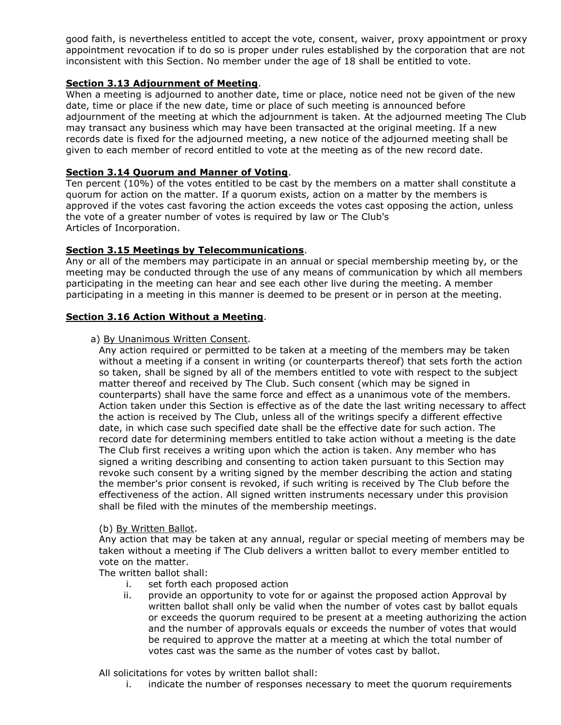good faith, is nevertheless entitled to accept the vote, consent, waiver, proxy appointment or proxy appointment revocation if to do so is proper under rules established by the corporation that are not inconsistent with this Section. No member under the age of 18 shall be entitled to vote.

# Section 3.13 Adjournment of Meeting.

When a meeting is adjourned to another date, time or place, notice need not be given of the new date, time or place if the new date, time or place of such meeting is announced before adjournment of the meeting at which the adjournment is taken. At the adjourned meeting The Club may transact any business which may have been transacted at the original meeting. If a new records date is fixed for the adjourned meeting, a new notice of the adjourned meeting shall be given to each member of record entitled to vote at the meeting as of the new record date.

# Section 3.14 Quorum and Manner of Voting.

Ten percent (10%) of the votes entitled to be cast by the members on a matter shall constitute a quorum for action on the matter. If a quorum exists, action on a matter by the members is approved if the votes cast favoring the action exceeds the votes cast opposing the action, unless the vote of a greater number of votes is required by law or The Club's Articles of Incorporation.

## Section 3.15 Meetings by Telecommunications.

Any or all of the members may participate in an annual or special membership meeting by, or the meeting may be conducted through the use of any means of communication by which all members participating in the meeting can hear and see each other live during the meeting. A member participating in a meeting in this manner is deemed to be present or in person at the meeting.

## Section 3.16 Action Without a Meeting.

## a) By Unanimous Written Consent.

Any action required or permitted to be taken at a meeting of the members may be taken without a meeting if a consent in writing (or counterparts thereof) that sets forth the action so taken, shall be signed by all of the members entitled to vote with respect to the subject matter thereof and received by The Club. Such consent (which may be signed in counterparts) shall have the same force and effect as a unanimous vote of the members. Action taken under this Section is effective as of the date the last writing necessary to affect the action is received by The Club, unless all of the writings specify a different effective date, in which case such specified date shall be the effective date for such action. The record date for determining members entitled to take action without a meeting is the date The Club first receives a writing upon which the action is taken. Any member who has signed a writing describing and consenting to action taken pursuant to this Section may revoke such consent by a writing signed by the member describing the action and stating the member's prior consent is revoked, if such writing is received by The Club before the effectiveness of the action. All signed written instruments necessary under this provision shall be filed with the minutes of the membership meetings.

## (b) By Written Ballot.

Any action that may be taken at any annual, regular or special meeting of members may be taken without a meeting if The Club delivers a written ballot to every member entitled to vote on the matter.

The written ballot shall:

- i. set forth each proposed action
- ii. provide an opportunity to vote for or against the proposed action Approval by written ballot shall only be valid when the number of votes cast by ballot equals or exceeds the quorum required to be present at a meeting authorizing the action and the number of approvals equals or exceeds the number of votes that would be required to approve the matter at a meeting at which the total number of votes cast was the same as the number of votes cast by ballot.

All solicitations for votes by written ballot shall:

i. indicate the number of responses necessary to meet the quorum requirements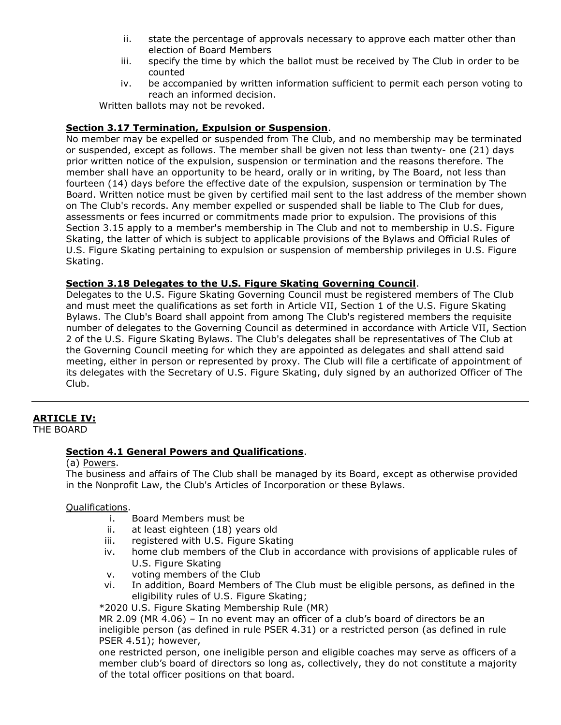- ii. state the percentage of approvals necessary to approve each matter other than election of Board Members
- iii. specify the time by which the ballot must be received by The Club in order to be counted
- iv. be accompanied by written information sufficient to permit each person voting to reach an informed decision.

Written ballots may not be revoked.

# Section 3.17 Termination, Expulsion or Suspension.

No member may be expelled or suspended from The Club, and no membership may be terminated or suspended, except as follows. The member shall be given not less than twenty- one (21) days prior written notice of the expulsion, suspension or termination and the reasons therefore. The member shall have an opportunity to be heard, orally or in writing, by The Board, not less than fourteen (14) days before the effective date of the expulsion, suspension or termination by The Board. Written notice must be given by certified mail sent to the last address of the member shown on The Club's records. Any member expelled or suspended shall be liable to The Club for dues, assessments or fees incurred or commitments made prior to expulsion. The provisions of this Section 3.15 apply to a member's membership in The Club and not to membership in U.S. Figure Skating, the latter of which is subject to applicable provisions of the Bylaws and Official Rules of U.S. Figure Skating pertaining to expulsion or suspension of membership privileges in U.S. Figure Skating.

# Section 3.18 Delegates to the U.S. Figure Skating Governing Council.

Delegates to the U.S. Figure Skating Governing Council must be registered members of The Club and must meet the qualifications as set forth in Article VII, Section 1 of the U.S. Figure Skating Bylaws. The Club's Board shall appoint from among The Club's registered members the requisite number of delegates to the Governing Council as determined in accordance with Article VII, Section 2 of the U.S. Figure Skating Bylaws. The Club's delegates shall be representatives of The Club at the Governing Council meeting for which they are appointed as delegates and shall attend said meeting, either in person or represented by proxy. The Club will file a certificate of appointment of its delegates with the Secretary of U.S. Figure Skating, duly signed by an authorized Officer of The Club.

# ARTICLE IV:

THE BOARD

# Section 4.1 General Powers and Qualifications.

(a) Powers.

The business and affairs of The Club shall be managed by its Board, except as otherwise provided in the Nonprofit Law, the Club's Articles of Incorporation or these Bylaws.

## Qualifications.

- i. Board Members must be
- ii. at least eighteen (18) years old
- iii. registered with U.S. Figure Skating
- iv. home club members of the Club in accordance with provisions of applicable rules of U.S. Figure Skating
- v. voting members of the Club
- vi. In addition, Board Members of The Club must be eligible persons, as defined in the eligibility rules of U.S. Figure Skating;

\*2020 U.S. Figure Skating Membership Rule (MR)

MR 2.09 (MR 4.06) – In no event may an officer of a club's board of directors be an ineligible person (as defined in rule PSER 4.31) or a restricted person (as defined in rule PSER 4.51); however,

one restricted person, one ineligible person and eligible coaches may serve as officers of a member club's board of directors so long as, collectively, they do not constitute a majority of the total officer positions on that board.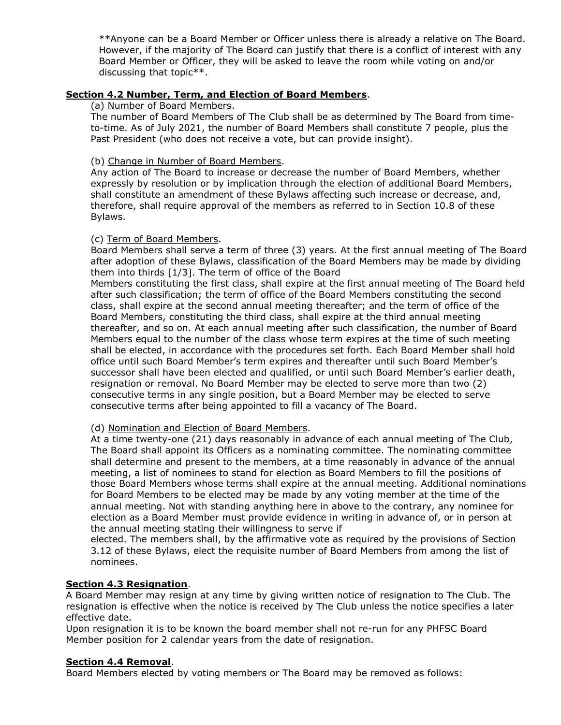\*\*Anyone can be a Board Member or Officer unless there is already a relative on The Board. However, if the majority of The Board can justify that there is a conflict of interest with any Board Member or Officer, they will be asked to leave the room while voting on and/or discussing that topic\*\*.

## Section 4.2 Number, Term, and Election of Board Members.

## (a) Number of Board Members.

The number of Board Members of The Club shall be as determined by The Board from timeto-time. As of July 2021, the number of Board Members shall constitute 7 people, plus the Past President (who does not receive a vote, but can provide insight).

## (b) Change in Number of Board Members.

Any action of The Board to increase or decrease the number of Board Members, whether expressly by resolution or by implication through the election of additional Board Members, shall constitute an amendment of these Bylaws affecting such increase or decrease, and, therefore, shall require approval of the members as referred to in Section 10.8 of these Bylaws.

## (c) Term of Board Members.

Board Members shall serve a term of three (3) years. At the first annual meeting of The Board after adoption of these Bylaws, classification of the Board Members may be made by dividing them into thirds [1/3]. The term of office of the Board

Members constituting the first class, shall expire at the first annual meeting of The Board held after such classification; the term of office of the Board Members constituting the second class, shall expire at the second annual meeting thereafter; and the term of office of the Board Members, constituting the third class, shall expire at the third annual meeting thereafter, and so on. At each annual meeting after such classification, the number of Board Members equal to the number of the class whose term expires at the time of such meeting shall be elected, in accordance with the procedures set forth. Each Board Member shall hold office until such Board Member's term expires and thereafter until such Board Member's successor shall have been elected and qualified, or until such Board Member's earlier death, resignation or removal. No Board Member may be elected to serve more than two (2) consecutive terms in any single position, but a Board Member may be elected to serve consecutive terms after being appointed to fill a vacancy of The Board.

## (d) Nomination and Election of Board Members.

At a time twenty-one (21) days reasonably in advance of each annual meeting of The Club, The Board shall appoint its Officers as a nominating committee. The nominating committee shall determine and present to the members, at a time reasonably in advance of the annual meeting, a list of nominees to stand for election as Board Members to fill the positions of those Board Members whose terms shall expire at the annual meeting. Additional nominations for Board Members to be elected may be made by any voting member at the time of the annual meeting. Not with standing anything here in above to the contrary, any nominee for election as a Board Member must provide evidence in writing in advance of, or in person at the annual meeting stating their willingness to serve if

elected. The members shall, by the affirmative vote as required by the provisions of Section 3.12 of these Bylaws, elect the requisite number of Board Members from among the list of nominees.

## Section 4.3 Resignation.

A Board Member may resign at any time by giving written notice of resignation to The Club. The resignation is effective when the notice is received by The Club unless the notice specifies a later effective date.

Upon resignation it is to be known the board member shall not re-run for any PHFSC Board Member position for 2 calendar years from the date of resignation.

## Section 4.4 Removal.

Board Members elected by voting members or The Board may be removed as follows: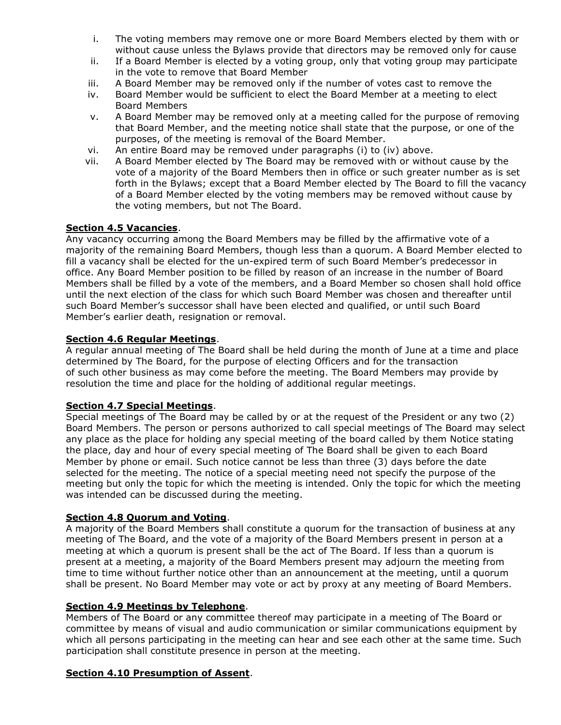- i. The voting members may remove one or more Board Members elected by them with or without cause unless the Bylaws provide that directors may be removed only for cause
- ii. If a Board Member is elected by a voting group, only that voting group may participate in the vote to remove that Board Member
- iii. A Board Member may be removed only if the number of votes cast to remove the
- iv. Board Member would be sufficient to elect the Board Member at a meeting to elect Board Members
- v. A Board Member may be removed only at a meeting called for the purpose of removing that Board Member, and the meeting notice shall state that the purpose, or one of the purposes, of the meeting is removal of the Board Member.
- vi. An entire Board may be removed under paragraphs (i) to (iv) above.
- vii. A Board Member elected by The Board may be removed with or without cause by the vote of a majority of the Board Members then in office or such greater number as is set forth in the Bylaws; except that a Board Member elected by The Board to fill the vacancy of a Board Member elected by the voting members may be removed without cause by the voting members, but not The Board.

## Section 4.5 Vacancies.

Any vacancy occurring among the Board Members may be filled by the affirmative vote of a majority of the remaining Board Members, though less than a quorum. A Board Member elected to fill a vacancy shall be elected for the un-expired term of such Board Member's predecessor in office. Any Board Member position to be filled by reason of an increase in the number of Board Members shall be filled by a vote of the members, and a Board Member so chosen shall hold office until the next election of the class for which such Board Member was chosen and thereafter until such Board Member's successor shall have been elected and qualified, or until such Board Member's earlier death, resignation or removal.

## Section 4.6 Regular Meetings.

A regular annual meeting of The Board shall be held during the month of June at a time and place determined by The Board, for the purpose of electing Officers and for the transaction of such other business as may come before the meeting. The Board Members may provide by resolution the time and place for the holding of additional regular meetings.

## Section 4.7 Special Meetings.

Special meetings of The Board may be called by or at the request of the President or any two (2) Board Members. The person or persons authorized to call special meetings of The Board may select any place as the place for holding any special meeting of the board called by them Notice stating the place, day and hour of every special meeting of The Board shall be given to each Board Member by phone or email. Such notice cannot be less than three (3) days before the date selected for the meeting. The notice of a special meeting need not specify the purpose of the meeting but only the topic for which the meeting is intended. Only the topic for which the meeting was intended can be discussed during the meeting.

## Section 4.8 Quorum and Voting.

A majority of the Board Members shall constitute a quorum for the transaction of business at any meeting of The Board, and the vote of a majority of the Board Members present in person at a meeting at which a quorum is present shall be the act of The Board. If less than a quorum is present at a meeting, a majority of the Board Members present may adjourn the meeting from time to time without further notice other than an announcement at the meeting, until a quorum shall be present. No Board Member may vote or act by proxy at any meeting of Board Members.

## Section 4.9 Meetings by Telephone.

Members of The Board or any committee thereof may participate in a meeting of The Board or committee by means of visual and audio communication or similar communications equipment by which all persons participating in the meeting can hear and see each other at the same time. Such participation shall constitute presence in person at the meeting.

## Section 4.10 Presumption of Assent.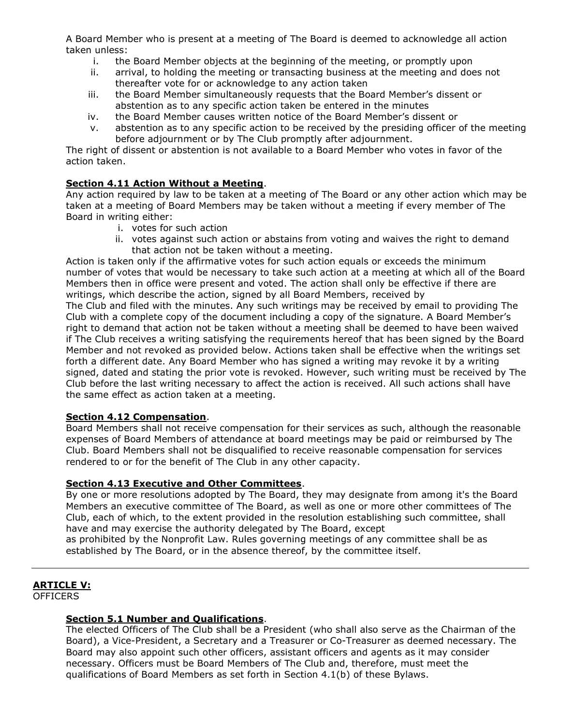A Board Member who is present at a meeting of The Board is deemed to acknowledge all action taken unless:

- i. the Board Member objects at the beginning of the meeting, or promptly upon
- ii. arrival, to holding the meeting or transacting business at the meeting and does not thereafter vote for or acknowledge to any action taken
- iii. the Board Member simultaneously requests that the Board Member's dissent or abstention as to any specific action taken be entered in the minutes
- iv. the Board Member causes written notice of the Board Member's dissent or
- v. abstention as to any specific action to be received by the presiding officer of the meeting before adjournment or by The Club promptly after adjournment.

The right of dissent or abstention is not available to a Board Member who votes in favor of the action taken.

## Section 4.11 Action Without a Meeting.

Any action required by law to be taken at a meeting of The Board or any other action which may be taken at a meeting of Board Members may be taken without a meeting if every member of The Board in writing either:

- i. votes for such action
- ii. votes against such action or abstains from voting and waives the right to demand that action not be taken without a meeting.

Action is taken only if the affirmative votes for such action equals or exceeds the minimum number of votes that would be necessary to take such action at a meeting at which all of the Board Members then in office were present and voted. The action shall only be effective if there are writings, which describe the action, signed by all Board Members, received by The Club and filed with the minutes. Any such writings may be received by email to providing The Club with a complete copy of the document including a copy of the signature. A Board Member's right to demand that action not be taken without a meeting shall be deemed to have been waived if The Club receives a writing satisfying the requirements hereof that has been signed by the Board Member and not revoked as provided below. Actions taken shall be effective when the writings set forth a different date. Any Board Member who has signed a writing may revoke it by a writing signed, dated and stating the prior vote is revoked. However, such writing must be received by The Club before the last writing necessary to affect the action is received. All such actions shall have

## Section 4.12 Compensation.

Board Members shall not receive compensation for their services as such, although the reasonable expenses of Board Members of attendance at board meetings may be paid or reimbursed by The Club. Board Members shall not be disqualified to receive reasonable compensation for services rendered to or for the benefit of The Club in any other capacity.

## Section 4.13 Executive and Other Committees.

the same effect as action taken at a meeting.

By one or more resolutions adopted by The Board, they may designate from among it's the Board Members an executive committee of The Board, as well as one or more other committees of The Club, each of which, to the extent provided in the resolution establishing such committee, shall have and may exercise the authority delegated by The Board, except

as prohibited by the Nonprofit Law. Rules governing meetings of any committee shall be as established by The Board, or in the absence thereof, by the committee itself.

# ARTICLE V:

OFFICERS

## Section 5.1 Number and Qualifications.

The elected Officers of The Club shall be a President (who shall also serve as the Chairman of the Board), a Vice-President, a Secretary and a Treasurer or Co-Treasurer as deemed necessary. The Board may also appoint such other officers, assistant officers and agents as it may consider necessary. Officers must be Board Members of The Club and, therefore, must meet the qualifications of Board Members as set forth in Section 4.1(b) of these Bylaws.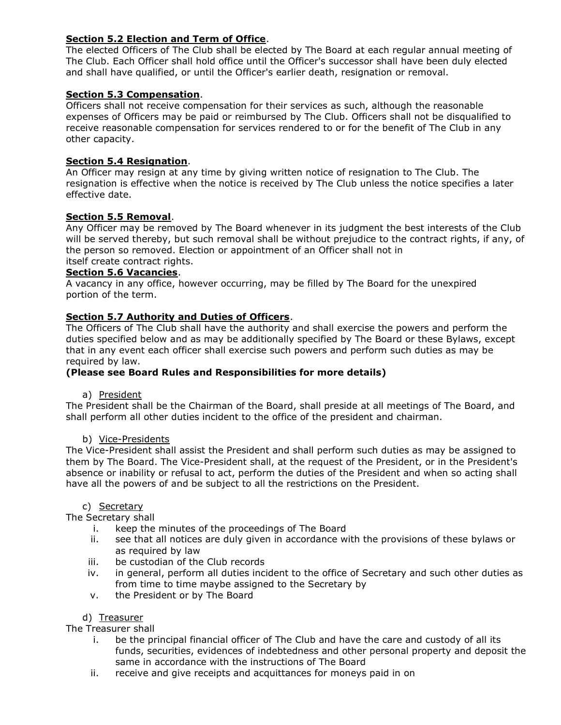# Section 5.2 Election and Term of Office.

The elected Officers of The Club shall be elected by The Board at each regular annual meeting of The Club. Each Officer shall hold office until the Officer's successor shall have been duly elected and shall have qualified, or until the Officer's earlier death, resignation or removal.

# Section 5.3 Compensation.

Officers shall not receive compensation for their services as such, although the reasonable expenses of Officers may be paid or reimbursed by The Club. Officers shall not be disqualified to receive reasonable compensation for services rendered to or for the benefit of The Club in any other capacity.

# Section 5.4 Resignation.

An Officer may resign at any time by giving written notice of resignation to The Club. The resignation is effective when the notice is received by The Club unless the notice specifies a later effective date.

# Section 5.5 Removal.

Any Officer may be removed by The Board whenever in its judgment the best interests of the Club will be served thereby, but such removal shall be without prejudice to the contract rights, if any, of the person so removed. Election or appointment of an Officer shall not in itself create contract rights.

## Section 5.6 Vacancies.

A vacancy in any office, however occurring, may be filled by The Board for the unexpired portion of the term.

# Section 5.7 Authority and Duties of Officers.

The Officers of The Club shall have the authority and shall exercise the powers and perform the duties specified below and as may be additionally specified by The Board or these Bylaws, except that in any event each officer shall exercise such powers and perform such duties as may be required by law.

# (Please see Board Rules and Responsibilities for more details)

a) President

The President shall be the Chairman of the Board, shall preside at all meetings of The Board, and shall perform all other duties incident to the office of the president and chairman.

## b) Vice-Presidents

The Vice-President shall assist the President and shall perform such duties as may be assigned to them by The Board. The Vice-President shall, at the request of the President, or in the President's absence or inability or refusal to act, perform the duties of the President and when so acting shall have all the powers of and be subject to all the restrictions on the President.

## c) Secretary

The Secretary shall

- i. keep the minutes of the proceedings of The Board
- ii. see that all notices are duly given in accordance with the provisions of these bylaws or as required by law
- iii. be custodian of the Club records
- iv. in general, perform all duties incident to the office of Secretary and such other duties as from time to time maybe assigned to the Secretary by
- v. the President or by The Board

## d) Treasurer

The Treasurer shall

- i. be the principal financial officer of The Club and have the care and custody of all its funds, securities, evidences of indebtedness and other personal property and deposit the same in accordance with the instructions of The Board
- ii. receive and give receipts and acquittances for moneys paid in on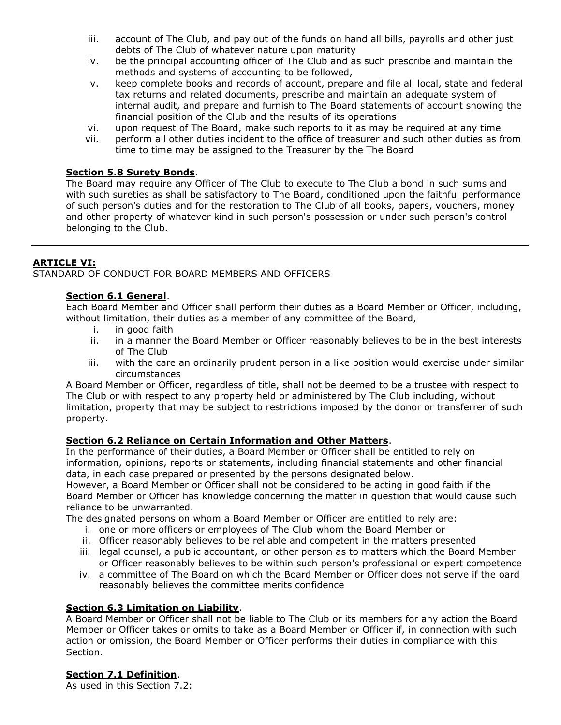- iii. account of The Club, and pay out of the funds on hand all bills, payrolls and other just debts of The Club of whatever nature upon maturity
- iv. be the principal accounting officer of The Club and as such prescribe and maintain the methods and systems of accounting to be followed,
- v. keep complete books and records of account, prepare and file all local, state and federal tax returns and related documents, prescribe and maintain an adequate system of internal audit, and prepare and furnish to The Board statements of account showing the financial position of the Club and the results of its operations
- vi. upon request of The Board, make such reports to it as may be required at any time
- vii. perform all other duties incident to the office of treasurer and such other duties as from time to time may be assigned to the Treasurer by the The Board

## Section 5.8 Surety Bonds.

The Board may require any Officer of The Club to execute to The Club a bond in such sums and with such sureties as shall be satisfactory to The Board, conditioned upon the faithful performance of such person's duties and for the restoration to The Club of all books, papers, vouchers, money and other property of whatever kind in such person's possession or under such person's control belonging to the Club.

# ARTICLE VI:

STANDARD OF CONDUCT FOR BOARD MEMBERS AND OFFICERS

## Section 6.1 General.

Each Board Member and Officer shall perform their duties as a Board Member or Officer, including, without limitation, their duties as a member of any committee of the Board,

- i. in good faith
- ii. in a manner the Board Member or Officer reasonably believes to be in the best interests of The Club
- iii. with the care an ordinarily prudent person in a like position would exercise under similar circumstances

A Board Member or Officer, regardless of title, shall not be deemed to be a trustee with respect to The Club or with respect to any property held or administered by The Club including, without limitation, property that may be subject to restrictions imposed by the donor or transferrer of such property.

## Section 6.2 Reliance on Certain Information and Other Matters.

In the performance of their duties, a Board Member or Officer shall be entitled to rely on information, opinions, reports or statements, including financial statements and other financial data, in each case prepared or presented by the persons designated below.

However, a Board Member or Officer shall not be considered to be acting in good faith if the Board Member or Officer has knowledge concerning the matter in question that would cause such reliance to be unwarranted.

The designated persons on whom a Board Member or Officer are entitled to rely are:

- i. one or more officers or employees of The Club whom the Board Member or
- ii. Officer reasonably believes to be reliable and competent in the matters presented
- iii. legal counsel, a public accountant, or other person as to matters which the Board Member or Officer reasonably believes to be within such person's professional or expert competence
- iv. a committee of The Board on which the Board Member or Officer does not serve if the oard reasonably believes the committee merits confidence

## Section 6.3 Limitation on Liability.

A Board Member or Officer shall not be liable to The Club or its members for any action the Board Member or Officer takes or omits to take as a Board Member or Officer if, in connection with such action or omission, the Board Member or Officer performs their duties in compliance with this Section.

# Section 7.1 Definition.

As used in this Section 7.2: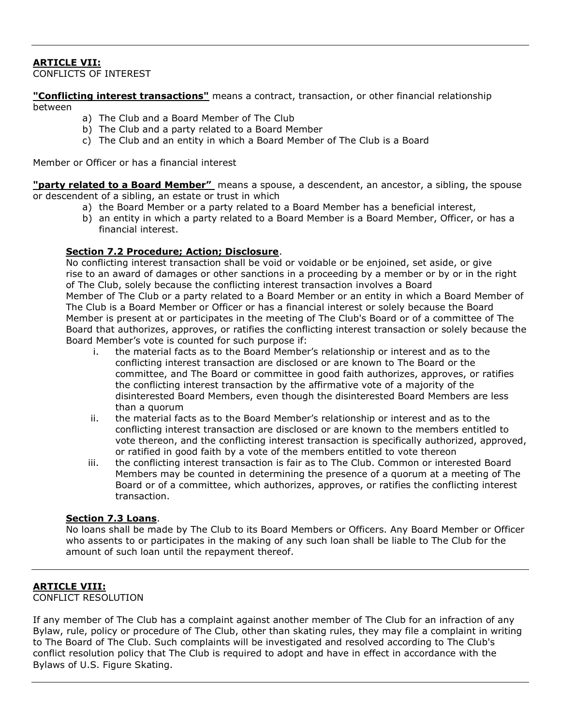# ARTICLE VII:

CONFLICTS OF INTEREST

"Conflicting interest transactions" means a contract, transaction, or other financial relationship between

- a) The Club and a Board Member of The Club
- b) The Club and a party related to a Board Member
- c) The Club and an entity in which a Board Member of The Club is a Board

Member or Officer or has a financial interest

"party related to a Board Member" means a spouse, a descendent, an ancestor, a sibling, the spouse or descendent of a sibling, an estate or trust in which

- a) the Board Member or a party related to a Board Member has a beneficial interest,
- b) an entity in which a party related to a Board Member is a Board Member, Officer, or has a financial interest.

## Section 7.2 Procedure; Action; Disclosure.

No conflicting interest transaction shall be void or voidable or be enjoined, set aside, or give rise to an award of damages or other sanctions in a proceeding by a member or by or in the right of The Club, solely because the conflicting interest transaction involves a Board Member of The Club or a party related to a Board Member or an entity in which a Board Member of The Club is a Board Member or Officer or has a financial interest or solely because the Board Member is present at or participates in the meeting of The Club's Board or of a committee of The Board that authorizes, approves, or ratifies the conflicting interest transaction or solely because the Board Member's vote is counted for such purpose if:

- i. the material facts as to the Board Member's relationship or interest and as to the conflicting interest transaction are disclosed or are known to The Board or the committee, and The Board or committee in good faith authorizes, approves, or ratifies the conflicting interest transaction by the affirmative vote of a majority of the disinterested Board Members, even though the disinterested Board Members are less than a quorum
- ii. the material facts as to the Board Member's relationship or interest and as to the conflicting interest transaction are disclosed or are known to the members entitled to vote thereon, and the conflicting interest transaction is specifically authorized, approved, or ratified in good faith by a vote of the members entitled to vote thereon
- iii. the conflicting interest transaction is fair as to The Club. Common or interested Board Members may be counted in determining the presence of a quorum at a meeting of The Board or of a committee, which authorizes, approves, or ratifies the conflicting interest transaction.

## Section 7.3 Loans.

No loans shall be made by The Club to its Board Members or Officers. Any Board Member or Officer who assents to or participates in the making of any such loan shall be liable to The Club for the amount of such loan until the repayment thereof.

## ARTICLE VIII:

CONFLICT RESOLUTION

If any member of The Club has a complaint against another member of The Club for an infraction of any Bylaw, rule, policy or procedure of The Club, other than skating rules, they may file a complaint in writing to The Board of The Club. Such complaints will be investigated and resolved according to The Club's conflict resolution policy that The Club is required to adopt and have in effect in accordance with the Bylaws of U.S. Figure Skating.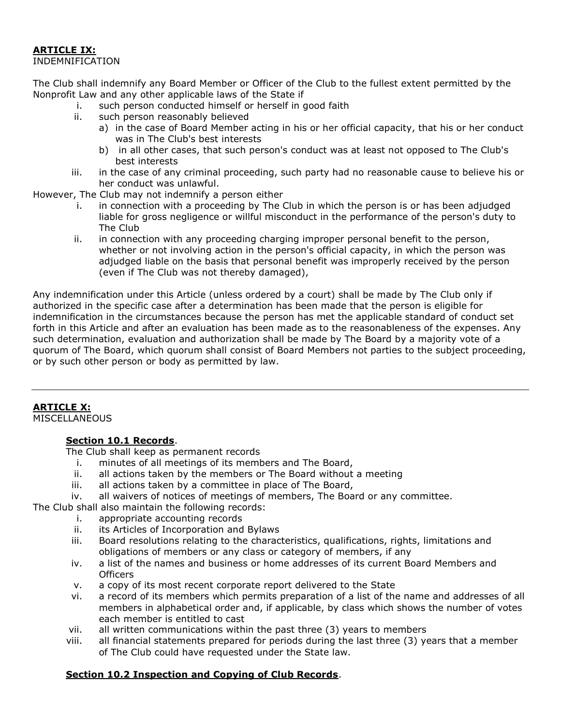# ARTICLE IX:

## INDEMNIFICATION

The Club shall indemnify any Board Member or Officer of the Club to the fullest extent permitted by the Nonprofit Law and any other applicable laws of the State if

- i. such person conducted himself or herself in good faith
- ii. such person reasonably believed
	- a) in the case of Board Member acting in his or her official capacity, that his or her conduct was in The Club's best interests
	- b) in all other cases, that such person's conduct was at least not opposed to The Club's best interests
- iii. in the case of any criminal proceeding, such party had no reasonable cause to believe his or her conduct was unlawful.

However, The Club may not indemnify a person either

- i. in connection with a proceeding by The Club in which the person is or has been adjudged liable for gross negligence or willful misconduct in the performance of the person's duty to The Club
- ii. in connection with any proceeding charging improper personal benefit to the person, whether or not involving action in the person's official capacity, in which the person was adjudged liable on the basis that personal benefit was improperly received by the person (even if The Club was not thereby damaged),

Any indemnification under this Article (unless ordered by a court) shall be made by The Club only if authorized in the specific case after a determination has been made that the person is eligible for indemnification in the circumstances because the person has met the applicable standard of conduct set forth in this Article and after an evaluation has been made as to the reasonableness of the expenses. Any such determination, evaluation and authorization shall be made by The Board by a majority vote of a quorum of The Board, which quorum shall consist of Board Members not parties to the subject proceeding, or by such other person or body as permitted by law.

# **ARTICLE X:**

**MISCELLANEOUS** 

# Section 10.1 Records.

The Club shall keep as permanent records

- i. minutes of all meetings of its members and The Board,
- ii. all actions taken by the members or The Board without a meeting
- iii. all actions taken by a committee in place of The Board,
- iv. all waivers of notices of meetings of members, The Board or any committee.

The Club shall also maintain the following records:

- i. appropriate accounting records
- ii. its Articles of Incorporation and Bylaws
- iii. Board resolutions relating to the characteristics, qualifications, rights, limitations and obligations of members or any class or category of members, if any
- iv. a list of the names and business or home addresses of its current Board Members and **Officers**
- v. a copy of its most recent corporate report delivered to the State
- vi. a record of its members which permits preparation of a list of the name and addresses of all members in alphabetical order and, if applicable, by class which shows the number of votes each member is entitled to cast
- vii. all written communications within the past three (3) years to members
- viii. all financial statements prepared for periods during the last three (3) years that a member of The Club could have requested under the State law.

# Section 10.2 Inspection and Copying of Club Records.